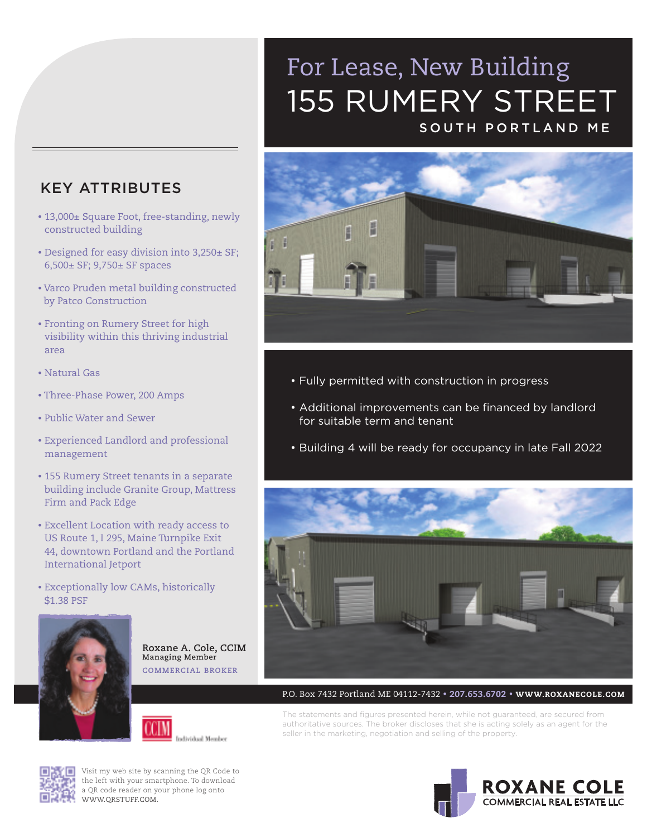# SOUTH PORTLAND ME 155 RUMERY STREET For Lease, New Building

## KEY ATTRIBUTES

- 13,000± Square Foot, free-standing, newly constructed building
- Designed for easy division into 3,250± SF; 6,500± SF; 9,750± SF spaces
- Varco Pruden metal building constructed by Patco Construction
- Fronting on Rumery Street for high visibility within this thriving industrial area
- Natural Gas
- Three-Phase Power, 200 Amps
- Public Water and Sewer
- Experienced Landlord and professional management
- 155 Rumery Street tenants in a separate building include Granite Group, Mattress Firm and Pack Edge
- Excellent Location with ready access to US Route 1, I 295, Maine Turnpike Exit 44, downtown Portland and the Portland International Jetport
- Exceptionally low CAMs, historically \$1.38 PSF



**Roxane A. Cole, CCIM Managing Member COMMERCIAL BROKER**





Visit my web site by scanning the QR Code to the left with your smartphone. To download a QR code reader on your phone log onto WWW.QRSTUFF.COM.



- Fully permitted with construction in progress
- Additional improvements can be financed by landlord for suitable term and tenant
- Building 4 will be ready for occupancy in late Fall 2022



P.O. Box 7432 Portland ME 04112-7432 • 207.653.6702 • WWW.ROXANECOLE.COM

The statements and figures presented herein, while not guaranteed, are secured from authoritative sources. The broker discloses that she is acting solely as an agent for the seller in the marketing, negotiation and selling of the property.